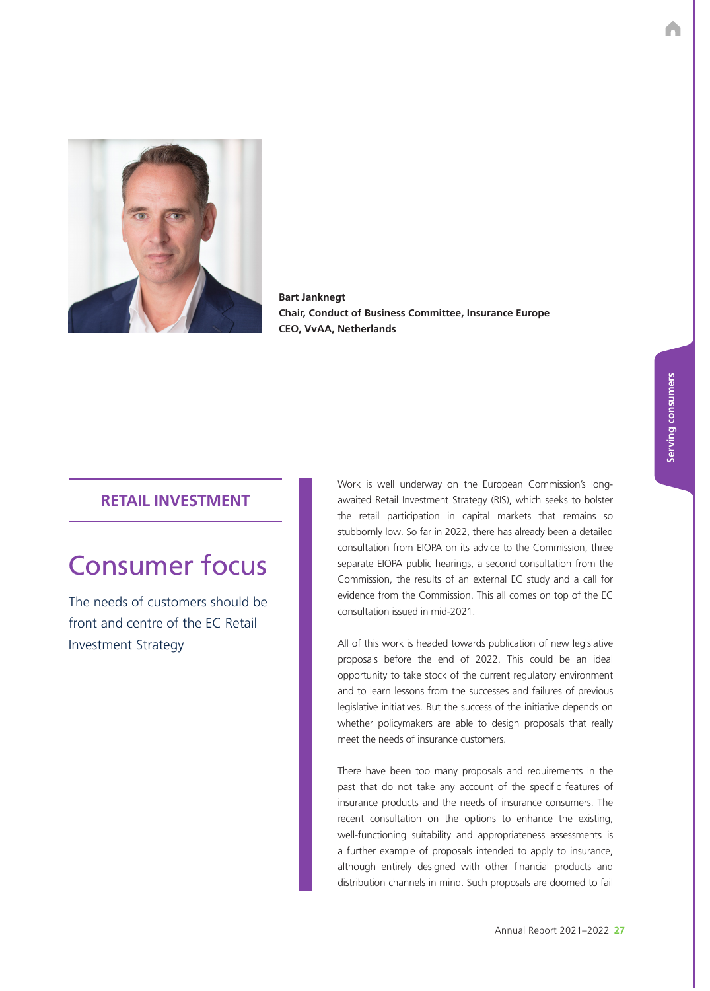

**Bart Janknegt Chair, Conduct of Business Committee, Insurance Europe CEO, VvAA, Netherlands**

## **RETAIL INVESTMENT**

# Consumer focus

The needs of customers should be front and centre of the EC Retail Investment Strategy

Work is well underway on the European Commission's longawaited Retail Investment Strategy (RIS), which seeks to bolster the retail participation in capital markets that remains so stubbornly low. So far in 2022, there has already been a detailed consultation from EIOPA on its advice to the Commission, three separate EIOPA public hearings, a second consultation from the Commission, the results of an external EC study and a call for evidence from the Commission. This all comes on top of the EC consultation issued in mid-2021.

All of this work is headed towards publication of new legislative proposals before the end of 2022. This could be an ideal opportunity to take stock of the current regulatory environment and to learn lessons from the successes and failures of previous legislative initiatives. But the success of the initiative depends on whether policymakers are able to design proposals that really meet the needs of insurance customers.

There have been too many proposals and requirements in the past that do not take any account of the specific features of insurance products and the needs of insurance consumers. The recent consultation on the options to enhance the existing, well-functioning suitability and appropriateness assessments is a further example of proposals intended to apply to insurance, although entirely designed with other financial products and distribution channels in mind. Such proposals are doomed to fail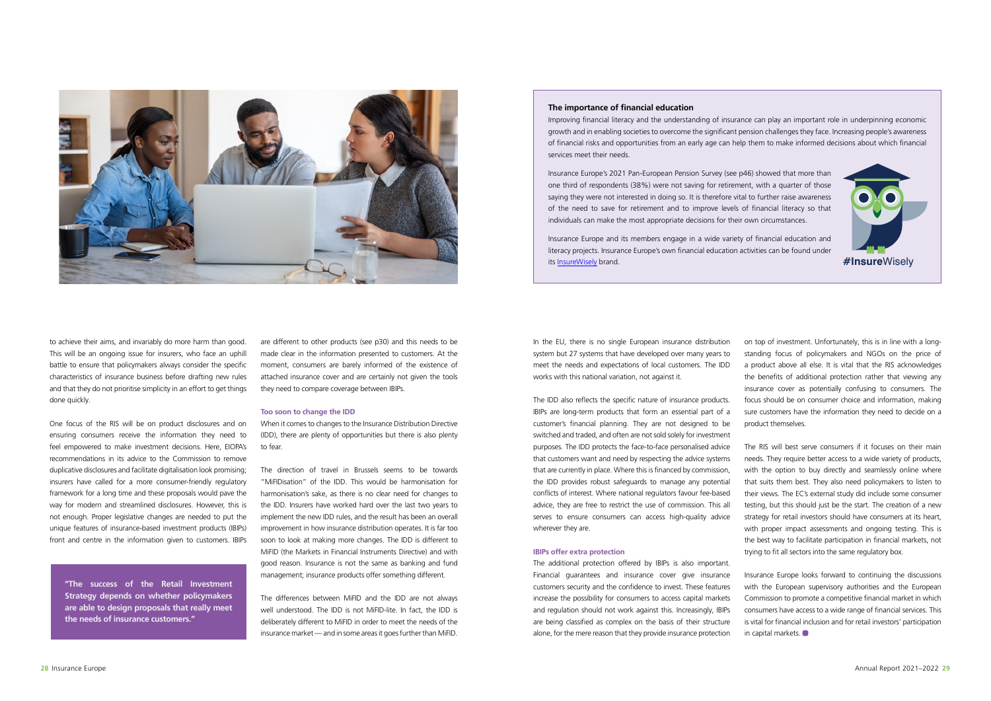

to achieve their aims, and invariably do more harm than good. This will be an ongoing issue for insurers, who face an uphill battle to ensure that policymakers always consider the specific characteristics of insurance business before drafting new rules and that they do not prioritise simplicity in an effort to get things done quickly.

One focus of the RIS will be on product disclosures and on ensuring consumers receive the information they need to feel empowered to make investment decisions. Here, EIOPA's recommendations in its advice to the Commission to remove duplicative disclosures and facilitate digitalisation look promising; insurers have called for a more consumer-friendly regulatory framework for a long time and these proposals would pave the way for modern and streamlined disclosures. However, this is not enough. Proper legislative changes are needed to put the unique features of insurance-based investment products (IBIPs) front and centre in the information given to customers. IBIPs

are different to other products (see p30) and this needs to be made clear in the information presented to customers. At the moment, consumers are barely informed of the existence of attached insurance cover and are certainly not given the tools they need to compare coverage between IBIPs.

#### **Too soon to change the IDD**

When it comes to changes to the Insurance Distribution Directive (IDD), there are plenty of opportunities but there is also plenty to fear.

The direction of travel in Brussels seems to be towards "MiFIDisation" of the IDD. This would be harmonisation for harmonisation's sake, as there is no clear need for changes to the IDD. Insurers have worked hard over the last two years to implement the new IDD rules, and the result has been an overall improvement in how insurance distribution operates. It is far too soon to look at making more changes. The IDD is different to MiFID (the Markets in Financial Instruments Directive) and with good reason. Insurance is not the same as banking and fund management; insurance products offer something different.

The differences between MiFID and the IDD are not always well understood. The IDD is not MiFID-lite. In fact, the IDD is deliberately different to MiFID in order to meet the needs of the insurance market — and in some areas it goes further than MiFID.

**"The success of the Retail Investment Strategy depends on whether policymakers are able to design proposals that really meet the needs of insurance customers."**

switched and traded, and often are not sold solely for investment purposes. The IDD protects the face-to-face personalised advice that customers want and need by respecting the advice systems that are currently in place. Where this is financed by commission, the IDD provides robust safeguards to manage any potential conflicts of interest. Where national regulators favour fee-based advice, they are free to restrict the use of commission. This all serves to ensure consumers can access high-quality advice wherever they are.

In the EU, there is no single European insurance distribution system but 27 systems that have developed over many years to meet the needs and expectations of local customers. The IDD works with this national variation, not against it. The IDD also reflects the specific nature of insurance products. IBIPs are long-term products that form an essential part of a customer's financial planning. They are not designed to be on top of investment. Unfortunately, this is in line with a longstanding focus of policymakers and NGOs on the price of a product above all else. It is vital that the RIS acknowledges the benefits of additional protection rather that viewing any insurance cover as potentially confusing to consumers. The focus should be on consumer choice and information, making sure customers have the information they need to decide on a product themselves.

#### **IBIPs offer extra protection**

The additional protection offered by IBIPs is also important. Financial guarantees and insurance cover give insurance customers security and the confidence to invest. These features increase the possibility for consumers to access capital markets and regulation should not work against this. Increasingly, IBIPs are being classified as complex on the basis of their structure alone, for the mere reason that they provide insurance protection Insurance Europe looks forward to continuing the discussions with the European supervisory authorities and the European Commission to promote a competitive financial market in which consumers have access to a wide range of financial services. This is vital for financial inclusion and for retail investors' participation in capital markets.



The RIS will best serve consumers if it focuses on their main needs. They require better access to a wide variety of products, with the option to buy directly and seamlessly online where that suits them best. They also need policymakers to listen to their views. The EC's external study did include some consumer testing, but this should just be the start. The creation of a new strategy for retail investors should have consumers at its heart, with proper impact assessments and ongoing testing. This is the best way to facilitate participation in financial markets, not trying to fit all sectors into the same regulatory box.

### **The importance of financial education**

Improving financial literacy and the understanding of insurance can play an important role in underpinning economic growth and in enabling societies to overcome the significant pension challenges they face. Increasing people's awareness of financial risks and opportunities from an early age can help them to make informed decisions about which financial services meet their needs.

Insurance Europe's 2021 Pan-European Pension Survey (see p46) showed that more than one third of respondents (38%) were not saving for retirement, with a quarter of those saying they were not interested in doing so. It is therefore vital to further raise awareness of the need to save for retirement and to improve levels of financial literacy so that individuals can make the most appropriate decisions for their own circumstances.

Insurance Europe and its members engage in a wide variety of financial education and literacy projects. Insurance Europe's own financial education activities can be found under its [InsureWisely](https://www.insuranceeurope.eu/priorities/14/financial-education-insurewisely) brand. **#Insure**Wisely